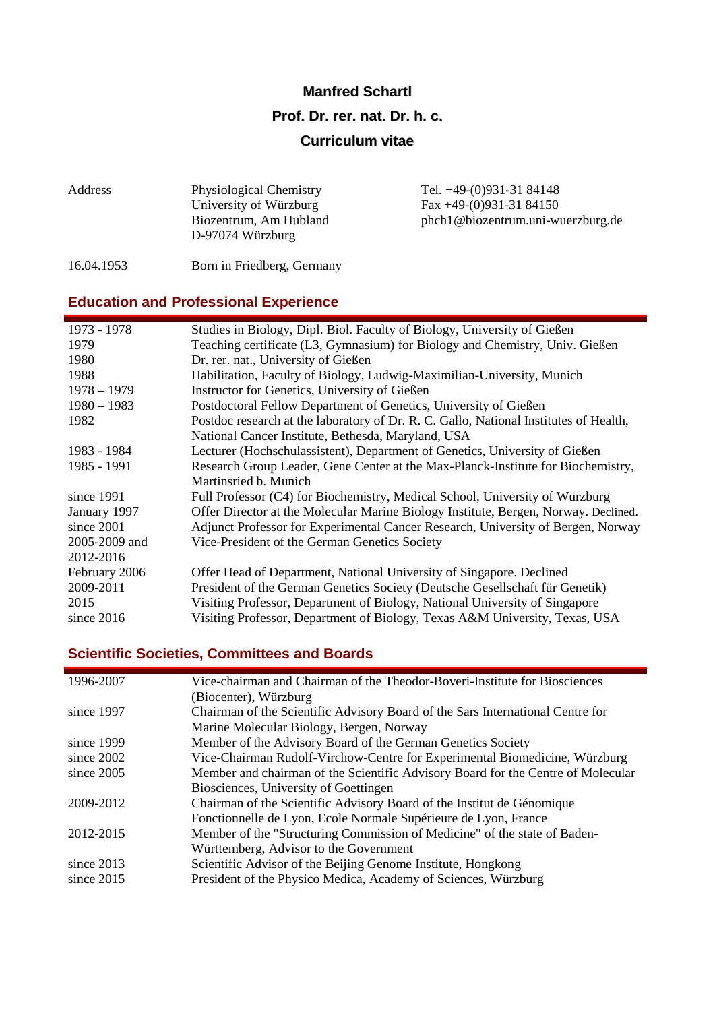#### **Manfred Schartl**

#### **Prof. Dr. rer. nat. Dr. h. c.**

#### **Curriculum vitae**

| Address    | <b>Physiological Chemistry</b><br>University of Würzburg | Tel. $+49-(0)931-3184148$<br>Fax $+49-(0)931-3184150$ |
|------------|----------------------------------------------------------|-------------------------------------------------------|
|            | Biozentrum, Am Hubland<br>D-97074 Würzburg               | phch1@biozentrum.uni-wuerzburg.de                     |
| 16.04.1953 | Born in Friedberg, Germany                               |                                                       |

## **Education and Professional Experience**

| 1973 - 1978   | Studies in Biology, Dipl. Biol. Faculty of Biology, University of Gießen              |
|---------------|---------------------------------------------------------------------------------------|
| 1979          | Teaching certificate (L3, Gymnasium) for Biology and Chemistry, Univ. Gießen          |
| 1980          | Dr. rer. nat., University of Gießen                                                   |
| 1988          | Habilitation, Faculty of Biology, Ludwig-Maximilian-University, Munich                |
| $1978 - 1979$ | Instructor for Genetics, University of Gießen                                         |
| $1980 - 1983$ | Postdoctoral Fellow Department of Genetics, University of Gießen                      |
| 1982          | Postdoc research at the laboratory of Dr. R. C. Gallo, National Institutes of Health, |
|               | National Cancer Institute, Bethesda, Maryland, USA                                    |
| 1983 - 1984   | Lecturer (Hochschulassistent), Department of Genetics, University of Gießen           |
| 1985 - 1991   | Research Group Leader, Gene Center at the Max-Planck-Institute for Biochemistry,      |
|               | Martinsried b. Munich                                                                 |
| since 1991    | Full Professor (C4) for Biochemistry, Medical School, University of Würzburg          |
| January 1997  | Offer Director at the Molecular Marine Biology Institute, Bergen, Norway. Declined.   |
| since 2001    | Adjunct Professor for Experimental Cancer Research, University of Bergen, Norway      |
| 2005-2009 and | Vice-President of the German Genetics Society                                         |
| 2012-2016     |                                                                                       |
| February 2006 | Offer Head of Department, National University of Singapore. Declined                  |
| 2009-2011     | President of the German Genetics Society (Deutsche Gesellschaft für Genetik)          |
| 2015          | Visiting Professor, Department of Biology, National University of Singapore           |
| since $2016$  | Visiting Professor, Department of Biology, Texas A&M University, Texas, USA           |

# **Scientific Societies, Committees and Boards**

| 1996-2007    | Vice-chairman and Chairman of the Theodor-Boveri-Institute for Biosciences       |
|--------------|----------------------------------------------------------------------------------|
|              | (Biocenter), Würzburg                                                            |
| since 1997   | Chairman of the Scientific Advisory Board of the Sars International Centre for   |
|              | Marine Molecular Biology, Bergen, Norway                                         |
| since 1999   | Member of the Advisory Board of the German Genetics Society                      |
| since $2002$ | Vice-Chairman Rudolf-Virchow-Centre for Experimental Biomedicine, Würzburg       |
| since $2005$ | Member and chairman of the Scientific Advisory Board for the Centre of Molecular |
|              | Biosciences, University of Goettingen                                            |
| 2009-2012    | Chairman of the Scientific Advisory Board of the Institut de Génomique           |
|              | Fonctionnelle de Lyon, Ecole Normale Supérieure de Lyon, France                  |
| 2012-2015    | Member of the "Structuring Commission of Medicine" of the state of Baden-        |
|              | Württemberg, Advisor to the Government                                           |
| since 2013   | Scientific Advisor of the Beijing Genome Institute, Hongkong                     |
| since $2015$ | President of the Physico Medica, Academy of Sciences, Würzburg                   |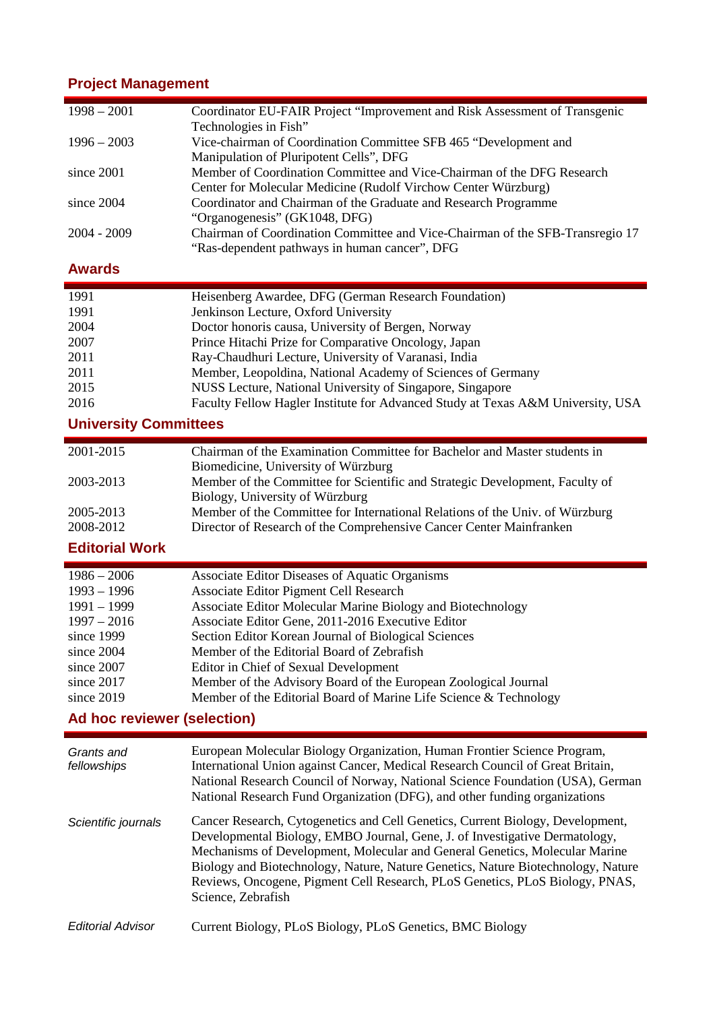### **Project Management**

| Coordinator EU-FAIR Project "Improvement and Risk Assessment of Transgenic<br>$1998 - 2001$<br>Technologies in Fish"<br>$1996 - 2003$<br>Vice-chairman of Coordination Committee SFB 465 "Development and<br>Manipulation of Pluripotent Cells", DFG<br>Member of Coordination Committee and Vice-Chairman of the DFG Research<br>since 2001<br>Center for Molecular Medicine (Rudolf Virchow Center Würzburg)<br>Coordinator and Chairman of the Graduate and Research Programme<br>since 2004<br>"Organogenesis" (GK1048, DFG)<br>2004 - 2009<br>Chairman of Coordination Committee and Vice-Chairman of the SFB-Transregio 17<br>"Ras-dependent pathways in human cancer", DFG<br><b>Awards</b><br>1991<br>Heisenberg Awardee, DFG (German Research Foundation)<br>1991<br>Jenkinson Lecture, Oxford University<br>Doctor honoris causa, University of Bergen, Norway<br>2004<br>Prince Hitachi Prize for Comparative Oncology, Japan<br>2007<br>Ray-Chaudhuri Lecture, University of Varanasi, India<br>2011<br>2011<br>Member, Leopoldina, National Academy of Sciences of Germany<br>2015<br>NUSS Lecture, National University of Singapore, Singapore<br>Faculty Fellow Hagler Institute for Advanced Study at Texas A&M University, USA<br>2016<br><b>University Committees</b><br>2001-2015<br>Chairman of the Examination Committee for Bachelor and Master students in<br>Biomedicine, University of Würzburg<br>2003-2013<br>Member of the Committee for Scientific and Strategic Development, Faculty of<br>Biology, University of Würzburg<br>Member of the Committee for International Relations of the Univ. of Würzburg<br>2005-2013<br>2008-2012<br>Director of Research of the Comprehensive Cancer Center Mainfranken<br><b>Editorial Work</b><br>Associate Editor Diseases of Aquatic Organisms<br>$1986 - 2006$<br>$1993 - 1996$<br>Associate Editor Pigment Cell Research<br>1991 - 1999<br>Associate Editor Molecular Marine Biology and Biotechnology<br>Associate Editor Gene, 2011-2016 Executive Editor<br>$1997 - 2016$<br>since 1999<br>Section Editor Korean Journal of Biological Sciences<br>since 2004<br>Member of the Editorial Board of Zebrafish<br>since 2007<br>Editor in Chief of Sexual Development<br>since 2017<br>Member of the Advisory Board of the European Zoological Journal<br>since 2019<br>Member of the Editorial Board of Marine Life Science & Technology<br>Ad hoc reviewer (selection) |  |  |  |
|--------------------------------------------------------------------------------------------------------------------------------------------------------------------------------------------------------------------------------------------------------------------------------------------------------------------------------------------------------------------------------------------------------------------------------------------------------------------------------------------------------------------------------------------------------------------------------------------------------------------------------------------------------------------------------------------------------------------------------------------------------------------------------------------------------------------------------------------------------------------------------------------------------------------------------------------------------------------------------------------------------------------------------------------------------------------------------------------------------------------------------------------------------------------------------------------------------------------------------------------------------------------------------------------------------------------------------------------------------------------------------------------------------------------------------------------------------------------------------------------------------------------------------------------------------------------------------------------------------------------------------------------------------------------------------------------------------------------------------------------------------------------------------------------------------------------------------------------------------------------------------------------------------------------------------------------------------------------------------------------------------------------------------------------------------------------------------------------------------------------------------------------------------------------------------------------------------------------------------------------------------------------------------------------------------------------------------------------------------------------------------------------------------------------------------------------------|--|--|--|
|                                                                                                                                                                                                                                                                                                                                                                                                                                                                                                                                                                                                                                                                                                                                                                                                                                                                                                                                                                                                                                                                                                                                                                                                                                                                                                                                                                                                                                                                                                                                                                                                                                                                                                                                                                                                                                                                                                                                                                                                                                                                                                                                                                                                                                                                                                                                                                                                                                                  |  |  |  |
|                                                                                                                                                                                                                                                                                                                                                                                                                                                                                                                                                                                                                                                                                                                                                                                                                                                                                                                                                                                                                                                                                                                                                                                                                                                                                                                                                                                                                                                                                                                                                                                                                                                                                                                                                                                                                                                                                                                                                                                                                                                                                                                                                                                                                                                                                                                                                                                                                                                  |  |  |  |
|                                                                                                                                                                                                                                                                                                                                                                                                                                                                                                                                                                                                                                                                                                                                                                                                                                                                                                                                                                                                                                                                                                                                                                                                                                                                                                                                                                                                                                                                                                                                                                                                                                                                                                                                                                                                                                                                                                                                                                                                                                                                                                                                                                                                                                                                                                                                                                                                                                                  |  |  |  |
|                                                                                                                                                                                                                                                                                                                                                                                                                                                                                                                                                                                                                                                                                                                                                                                                                                                                                                                                                                                                                                                                                                                                                                                                                                                                                                                                                                                                                                                                                                                                                                                                                                                                                                                                                                                                                                                                                                                                                                                                                                                                                                                                                                                                                                                                                                                                                                                                                                                  |  |  |  |
|                                                                                                                                                                                                                                                                                                                                                                                                                                                                                                                                                                                                                                                                                                                                                                                                                                                                                                                                                                                                                                                                                                                                                                                                                                                                                                                                                                                                                                                                                                                                                                                                                                                                                                                                                                                                                                                                                                                                                                                                                                                                                                                                                                                                                                                                                                                                                                                                                                                  |  |  |  |
|                                                                                                                                                                                                                                                                                                                                                                                                                                                                                                                                                                                                                                                                                                                                                                                                                                                                                                                                                                                                                                                                                                                                                                                                                                                                                                                                                                                                                                                                                                                                                                                                                                                                                                                                                                                                                                                                                                                                                                                                                                                                                                                                                                                                                                                                                                                                                                                                                                                  |  |  |  |
|                                                                                                                                                                                                                                                                                                                                                                                                                                                                                                                                                                                                                                                                                                                                                                                                                                                                                                                                                                                                                                                                                                                                                                                                                                                                                                                                                                                                                                                                                                                                                                                                                                                                                                                                                                                                                                                                                                                                                                                                                                                                                                                                                                                                                                                                                                                                                                                                                                                  |  |  |  |
|                                                                                                                                                                                                                                                                                                                                                                                                                                                                                                                                                                                                                                                                                                                                                                                                                                                                                                                                                                                                                                                                                                                                                                                                                                                                                                                                                                                                                                                                                                                                                                                                                                                                                                                                                                                                                                                                                                                                                                                                                                                                                                                                                                                                                                                                                                                                                                                                                                                  |  |  |  |
|                                                                                                                                                                                                                                                                                                                                                                                                                                                                                                                                                                                                                                                                                                                                                                                                                                                                                                                                                                                                                                                                                                                                                                                                                                                                                                                                                                                                                                                                                                                                                                                                                                                                                                                                                                                                                                                                                                                                                                                                                                                                                                                                                                                                                                                                                                                                                                                                                                                  |  |  |  |
|                                                                                                                                                                                                                                                                                                                                                                                                                                                                                                                                                                                                                                                                                                                                                                                                                                                                                                                                                                                                                                                                                                                                                                                                                                                                                                                                                                                                                                                                                                                                                                                                                                                                                                                                                                                                                                                                                                                                                                                                                                                                                                                                                                                                                                                                                                                                                                                                                                                  |  |  |  |
|                                                                                                                                                                                                                                                                                                                                                                                                                                                                                                                                                                                                                                                                                                                                                                                                                                                                                                                                                                                                                                                                                                                                                                                                                                                                                                                                                                                                                                                                                                                                                                                                                                                                                                                                                                                                                                                                                                                                                                                                                                                                                                                                                                                                                                                                                                                                                                                                                                                  |  |  |  |
|                                                                                                                                                                                                                                                                                                                                                                                                                                                                                                                                                                                                                                                                                                                                                                                                                                                                                                                                                                                                                                                                                                                                                                                                                                                                                                                                                                                                                                                                                                                                                                                                                                                                                                                                                                                                                                                                                                                                                                                                                                                                                                                                                                                                                                                                                                                                                                                                                                                  |  |  |  |
|                                                                                                                                                                                                                                                                                                                                                                                                                                                                                                                                                                                                                                                                                                                                                                                                                                                                                                                                                                                                                                                                                                                                                                                                                                                                                                                                                                                                                                                                                                                                                                                                                                                                                                                                                                                                                                                                                                                                                                                                                                                                                                                                                                                                                                                                                                                                                                                                                                                  |  |  |  |
|                                                                                                                                                                                                                                                                                                                                                                                                                                                                                                                                                                                                                                                                                                                                                                                                                                                                                                                                                                                                                                                                                                                                                                                                                                                                                                                                                                                                                                                                                                                                                                                                                                                                                                                                                                                                                                                                                                                                                                                                                                                                                                                                                                                                                                                                                                                                                                                                                                                  |  |  |  |
|                                                                                                                                                                                                                                                                                                                                                                                                                                                                                                                                                                                                                                                                                                                                                                                                                                                                                                                                                                                                                                                                                                                                                                                                                                                                                                                                                                                                                                                                                                                                                                                                                                                                                                                                                                                                                                                                                                                                                                                                                                                                                                                                                                                                                                                                                                                                                                                                                                                  |  |  |  |
|                                                                                                                                                                                                                                                                                                                                                                                                                                                                                                                                                                                                                                                                                                                                                                                                                                                                                                                                                                                                                                                                                                                                                                                                                                                                                                                                                                                                                                                                                                                                                                                                                                                                                                                                                                                                                                                                                                                                                                                                                                                                                                                                                                                                                                                                                                                                                                                                                                                  |  |  |  |
|                                                                                                                                                                                                                                                                                                                                                                                                                                                                                                                                                                                                                                                                                                                                                                                                                                                                                                                                                                                                                                                                                                                                                                                                                                                                                                                                                                                                                                                                                                                                                                                                                                                                                                                                                                                                                                                                                                                                                                                                                                                                                                                                                                                                                                                                                                                                                                                                                                                  |  |  |  |
|                                                                                                                                                                                                                                                                                                                                                                                                                                                                                                                                                                                                                                                                                                                                                                                                                                                                                                                                                                                                                                                                                                                                                                                                                                                                                                                                                                                                                                                                                                                                                                                                                                                                                                                                                                                                                                                                                                                                                                                                                                                                                                                                                                                                                                                                                                                                                                                                                                                  |  |  |  |
|                                                                                                                                                                                                                                                                                                                                                                                                                                                                                                                                                                                                                                                                                                                                                                                                                                                                                                                                                                                                                                                                                                                                                                                                                                                                                                                                                                                                                                                                                                                                                                                                                                                                                                                                                                                                                                                                                                                                                                                                                                                                                                                                                                                                                                                                                                                                                                                                                                                  |  |  |  |
|                                                                                                                                                                                                                                                                                                                                                                                                                                                                                                                                                                                                                                                                                                                                                                                                                                                                                                                                                                                                                                                                                                                                                                                                                                                                                                                                                                                                                                                                                                                                                                                                                                                                                                                                                                                                                                                                                                                                                                                                                                                                                                                                                                                                                                                                                                                                                                                                                                                  |  |  |  |
|                                                                                                                                                                                                                                                                                                                                                                                                                                                                                                                                                                                                                                                                                                                                                                                                                                                                                                                                                                                                                                                                                                                                                                                                                                                                                                                                                                                                                                                                                                                                                                                                                                                                                                                                                                                                                                                                                                                                                                                                                                                                                                                                                                                                                                                                                                                                                                                                                                                  |  |  |  |
|                                                                                                                                                                                                                                                                                                                                                                                                                                                                                                                                                                                                                                                                                                                                                                                                                                                                                                                                                                                                                                                                                                                                                                                                                                                                                                                                                                                                                                                                                                                                                                                                                                                                                                                                                                                                                                                                                                                                                                                                                                                                                                                                                                                                                                                                                                                                                                                                                                                  |  |  |  |
|                                                                                                                                                                                                                                                                                                                                                                                                                                                                                                                                                                                                                                                                                                                                                                                                                                                                                                                                                                                                                                                                                                                                                                                                                                                                                                                                                                                                                                                                                                                                                                                                                                                                                                                                                                                                                                                                                                                                                                                                                                                                                                                                                                                                                                                                                                                                                                                                                                                  |  |  |  |
|                                                                                                                                                                                                                                                                                                                                                                                                                                                                                                                                                                                                                                                                                                                                                                                                                                                                                                                                                                                                                                                                                                                                                                                                                                                                                                                                                                                                                                                                                                                                                                                                                                                                                                                                                                                                                                                                                                                                                                                                                                                                                                                                                                                                                                                                                                                                                                                                                                                  |  |  |  |
|                                                                                                                                                                                                                                                                                                                                                                                                                                                                                                                                                                                                                                                                                                                                                                                                                                                                                                                                                                                                                                                                                                                                                                                                                                                                                                                                                                                                                                                                                                                                                                                                                                                                                                                                                                                                                                                                                                                                                                                                                                                                                                                                                                                                                                                                                                                                                                                                                                                  |  |  |  |
|                                                                                                                                                                                                                                                                                                                                                                                                                                                                                                                                                                                                                                                                                                                                                                                                                                                                                                                                                                                                                                                                                                                                                                                                                                                                                                                                                                                                                                                                                                                                                                                                                                                                                                                                                                                                                                                                                                                                                                                                                                                                                                                                                                                                                                                                                                                                                                                                                                                  |  |  |  |
|                                                                                                                                                                                                                                                                                                                                                                                                                                                                                                                                                                                                                                                                                                                                                                                                                                                                                                                                                                                                                                                                                                                                                                                                                                                                                                                                                                                                                                                                                                                                                                                                                                                                                                                                                                                                                                                                                                                                                                                                                                                                                                                                                                                                                                                                                                                                                                                                                                                  |  |  |  |
|                                                                                                                                                                                                                                                                                                                                                                                                                                                                                                                                                                                                                                                                                                                                                                                                                                                                                                                                                                                                                                                                                                                                                                                                                                                                                                                                                                                                                                                                                                                                                                                                                                                                                                                                                                                                                                                                                                                                                                                                                                                                                                                                                                                                                                                                                                                                                                                                                                                  |  |  |  |
|                                                                                                                                                                                                                                                                                                                                                                                                                                                                                                                                                                                                                                                                                                                                                                                                                                                                                                                                                                                                                                                                                                                                                                                                                                                                                                                                                                                                                                                                                                                                                                                                                                                                                                                                                                                                                                                                                                                                                                                                                                                                                                                                                                                                                                                                                                                                                                                                                                                  |  |  |  |
|                                                                                                                                                                                                                                                                                                                                                                                                                                                                                                                                                                                                                                                                                                                                                                                                                                                                                                                                                                                                                                                                                                                                                                                                                                                                                                                                                                                                                                                                                                                                                                                                                                                                                                                                                                                                                                                                                                                                                                                                                                                                                                                                                                                                                                                                                                                                                                                                                                                  |  |  |  |
|                                                                                                                                                                                                                                                                                                                                                                                                                                                                                                                                                                                                                                                                                                                                                                                                                                                                                                                                                                                                                                                                                                                                                                                                                                                                                                                                                                                                                                                                                                                                                                                                                                                                                                                                                                                                                                                                                                                                                                                                                                                                                                                                                                                                                                                                                                                                                                                                                                                  |  |  |  |
|                                                                                                                                                                                                                                                                                                                                                                                                                                                                                                                                                                                                                                                                                                                                                                                                                                                                                                                                                                                                                                                                                                                                                                                                                                                                                                                                                                                                                                                                                                                                                                                                                                                                                                                                                                                                                                                                                                                                                                                                                                                                                                                                                                                                                                                                                                                                                                                                                                                  |  |  |  |
|                                                                                                                                                                                                                                                                                                                                                                                                                                                                                                                                                                                                                                                                                                                                                                                                                                                                                                                                                                                                                                                                                                                                                                                                                                                                                                                                                                                                                                                                                                                                                                                                                                                                                                                                                                                                                                                                                                                                                                                                                                                                                                                                                                                                                                                                                                                                                                                                                                                  |  |  |  |
|                                                                                                                                                                                                                                                                                                                                                                                                                                                                                                                                                                                                                                                                                                                                                                                                                                                                                                                                                                                                                                                                                                                                                                                                                                                                                                                                                                                                                                                                                                                                                                                                                                                                                                                                                                                                                                                                                                                                                                                                                                                                                                                                                                                                                                                                                                                                                                                                                                                  |  |  |  |
|                                                                                                                                                                                                                                                                                                                                                                                                                                                                                                                                                                                                                                                                                                                                                                                                                                                                                                                                                                                                                                                                                                                                                                                                                                                                                                                                                                                                                                                                                                                                                                                                                                                                                                                                                                                                                                                                                                                                                                                                                                                                                                                                                                                                                                                                                                                                                                                                                                                  |  |  |  |
|                                                                                                                                                                                                                                                                                                                                                                                                                                                                                                                                                                                                                                                                                                                                                                                                                                                                                                                                                                                                                                                                                                                                                                                                                                                                                                                                                                                                                                                                                                                                                                                                                                                                                                                                                                                                                                                                                                                                                                                                                                                                                                                                                                                                                                                                                                                                                                                                                                                  |  |  |  |
|                                                                                                                                                                                                                                                                                                                                                                                                                                                                                                                                                                                                                                                                                                                                                                                                                                                                                                                                                                                                                                                                                                                                                                                                                                                                                                                                                                                                                                                                                                                                                                                                                                                                                                                                                                                                                                                                                                                                                                                                                                                                                                                                                                                                                                                                                                                                                                                                                                                  |  |  |  |
|                                                                                                                                                                                                                                                                                                                                                                                                                                                                                                                                                                                                                                                                                                                                                                                                                                                                                                                                                                                                                                                                                                                                                                                                                                                                                                                                                                                                                                                                                                                                                                                                                                                                                                                                                                                                                                                                                                                                                                                                                                                                                                                                                                                                                                                                                                                                                                                                                                                  |  |  |  |
| European Molecular Biology Organization, Human Frontier Science Program,<br>Grants and<br>International Union against Cancer, Medical Research Council of Great Britain,<br>fellowships<br>National Research Council of Norway, National Science Foundation (USA), German<br>National Research Fund Organization (DFG), and other funding organizations                                                                                                                                                                                                                                                                                                                                                                                                                                                                                                                                                                                                                                                                                                                                                                                                                                                                                                                                                                                                                                                                                                                                                                                                                                                                                                                                                                                                                                                                                                                                                                                                                                                                                                                                                                                                                                                                                                                                                                                                                                                                                          |  |  |  |
| Cancer Research, Cytogenetics and Cell Genetics, Current Biology, Development,<br>Scientific journals<br>Developmental Biology, EMBO Journal, Gene, J. of Investigative Dermatology,                                                                                                                                                                                                                                                                                                                                                                                                                                                                                                                                                                                                                                                                                                                                                                                                                                                                                                                                                                                                                                                                                                                                                                                                                                                                                                                                                                                                                                                                                                                                                                                                                                                                                                                                                                                                                                                                                                                                                                                                                                                                                                                                                                                                                                                             |  |  |  |

- Developmental Biology, EMBO Journal, Gene, J. of Investigative Dermatology, Mechanisms of Development, Molecular and General Genetics, Molecular Marine Biology and Biotechnology, Nature, Nature Genetics, Nature Biotechnology, Nature Reviews, Oncogene, Pigment Cell Research, PLoS Genetics, PLoS Biology, PNAS, Science, Zebrafish
- *Editorial Advisor* Current Biology, PLoS Biology, PLoS Genetics, BMC Biology